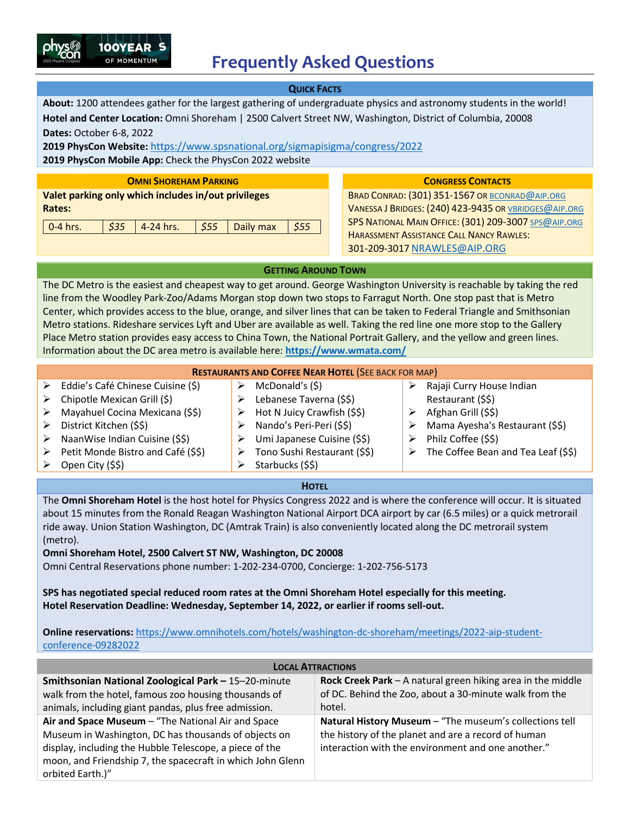

**QUICK FACTS About:** 1200 attendees gather for the largest gathering of undergraduate physics and astronomy students in the world! **Hotel and Center Location:** Omni Shoreham | 2500 Calvert Street NW, Washington, District of Columbia, 20008 **Dates:** October 6-8, 2022 **2019 PhysCon Website:** <https://www.spsnational.org/sigmapisigma/congress/2022>

**2019 PhysCon Mobile App:** Check the PhysCon 2022 website

**Valet parking only which includes in/out privileges Rates:**

100YEAR OF MOMENTUM

| 0-4 hrs. $\frac{1}{535}$ $\frac{4}{24}$ hrs. $\frac{1}{555}$ Daily max $\frac{1}{555}$ |
|----------------------------------------------------------------------------------------|
|----------------------------------------------------------------------------------------|

## **OMNI SHOREHAM PARKING CONGRESS CONTACTS**

BRAD CONRAD: (301) 351-1567 OR [BCONRAD@AIP.ORG](about:blank) VANESSA J BRIDGES: (240) 423-9435 O[R VBRIDGES@AIP.ORG](about:blank) SPS NATIONAL MAIN OFFICE: (301) 209-3007 [SPS@AIP.ORG](about:blank) HARASSMENT ASSISTANCE CALL NANCY RAWLES: 301-209-3017 [NRAWLES@AIP.ORG](mailto:NRAWLES@AIP.ORG)

**GETTING AROUND TOWN**

The DC Metro is the easiest and cheapest way to get around. George Washington University is reachable by taking the red line from the Woodley Park-Zoo/Adams Morgan stop down two stops to Farragut North. One stop past that is Metro Center, which provides access to the blue, orange, and silver lines that can be taken to Federal Triangle and Smithsonian Metro stations. Rideshare services Lyft and Uber are available as well. Taking the red line one more stop to the Gallery Place Metro station provides easy access to China Town, the National Portrait Gallery, and the yellow and green lines. Information about the DC area metro is available here: **<https://www.wmata.com/>**

| <b>RESTAURANTS AND COFFEE NEAR HOTEL (SEE BACK FOR MAP)</b> |                                    |   |                              |  |                                     |  |
|-------------------------------------------------------------|------------------------------------|---|------------------------------|--|-------------------------------------|--|
| ≻                                                           | Eddie's Café Chinese Cuisine (\$)  |   | McDonald's (\$)              |  | Rajaji Curry House Indian           |  |
| ➤                                                           | Chipotle Mexican Grill (\$)        |   | Lebanese Taverna (\$\$)      |  | Restaurant (\$\$)                   |  |
| ➤                                                           | Mayahuel Cocina Mexicana (\$\$)    | ⋗ | Hot N Juicy Crawfish (\$\$)  |  | Afghan Grill (\$\$)                 |  |
| ≻                                                           | District Kitchen (\$\$)            |   | Nando's Peri-Peri (\$\$)     |  | Mama Ayesha's Restaurant (\$\$)     |  |
| ≻                                                           | NaanWise Indian Cuisine (\$\$)     | ⋗ | Umi Japanese Cuisine (\$\$)  |  | Philz Coffee (\$\$)                 |  |
| ➤                                                           | Petit Monde Bistro and Café (\$\$) | ⋗ | Tono Sushi Restaurant (\$\$) |  | The Coffee Bean and Tea Leaf (\$\$) |  |
| ➤                                                           | Open City (\$\$)                   |   | Starbucks (\$\$)             |  |                                     |  |

### **HOTEL**

The **Omni Shoreham Hotel** is the host hotel for Physics Congress 2022 and is where the conference will occur. It is situated about 15 minutes from the Ronald Reagan Washington National Airport DCA airport by car (6.5 miles) or a quick metrorail ride away. Union Station Washington, DC (Amtrak Train) is also conveniently located along the DC metrorail system (metro).

**Omni Shoreham Hotel, 2500 Calvert ST NW, Washington, DC 20008**

Omni Central Reservations phone number: 1-202-234-0700, Concierge: 1-202-756-5173

**SPS has negotiated special reduced room rates at the Omni Shoreham Hotel especially for this meeting. Hotel Reservation Deadline: Wednesday, September 14, 2022, or earlier if rooms sell-out.**

**Online reservations: [https://www.omnihotels.com/hotels/washington-dc-shoreham/meetings/2022-aip-student](https://www.omnihotels.com/hotels/washington-dc-shoreham/meetings/2022-aip-student-conference-09282022)**[conference-09282022](https://www.omnihotels.com/hotels/washington-dc-shoreham/meetings/2022-aip-student-conference-09282022) 

| <b>LOCAL ATTRACTIONS</b>                                                                                                                                                                                                                                |                                                                                                                                                                      |  |  |  |  |
|---------------------------------------------------------------------------------------------------------------------------------------------------------------------------------------------------------------------------------------------------------|----------------------------------------------------------------------------------------------------------------------------------------------------------------------|--|--|--|--|
| Smithsonian National Zoological Park - 15-20-minute<br>walk from the hotel, famous zoo housing thousands of<br>animals, including giant pandas, plus free admission.                                                                                    | Rock Creek Park $-$ A natural green hiking area in the middle<br>of DC. Behind the Zoo, about a 30-minute walk from the<br>hotel.                                    |  |  |  |  |
| Air and Space Museum - "The National Air and Space<br>Museum in Washington, DC has thousands of objects on<br>display, including the Hubble Telescope, a piece of the<br>moon, and Friendship 7, the spacecraft in which John Glenn<br>orbited Earth.)" | Natural History Museum - "The museum's collections tell<br>the history of the planet and are a record of human<br>interaction with the environment and one another." |  |  |  |  |